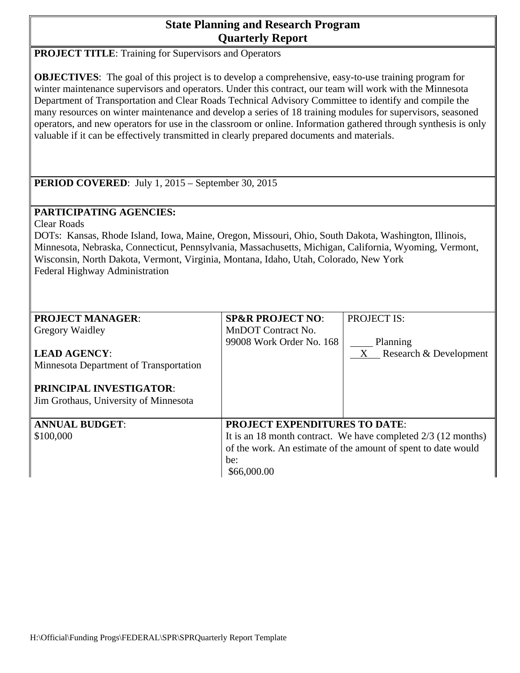# **State Planning and Research Program Quarterly Report**

**PROJECT TITLE:** Training for Supervisors and Operators

**OBJECTIVES**: The goal of this project is to develop a comprehensive, easy-to-use training program for winter maintenance supervisors and operators. Under this contract, our team will work with the Minnesota Department of Transportation and Clear Roads Technical Advisory Committee to identify and compile the many resources on winter maintenance and develop a series of 18 training modules for supervisors, seasoned operators, and new operators for use in the classroom or online. Information gathered through synthesis is only valuable if it can be effectively transmitted in clearly prepared documents and materials.

**PERIOD COVERED:** July 1, 2015 – September 30, 2015

# **PARTICIPATING AGENCIES:**

Clear Roads

DOTs: Kansas, Rhode Island, Iowa, Maine, Oregon, Missouri, Ohio, South Dakota, Washington, Illinois, Minnesota, Nebraska, Connecticut, Pennsylvania, Massachusetts, Michigan, California, Wyoming, Vermont, Wisconsin, North Dakota, Vermont, Virginia, Montana, Idaho, Utah, Colorado, New York Federal Highway Administration

| <b>PROJECT MANAGER:</b>                                                 | <b>SP&amp;R PROJECT NO:</b>                                     | <b>PROJECT IS:</b>       |
|-------------------------------------------------------------------------|-----------------------------------------------------------------|--------------------------|
| <b>Gregory Waidley</b>                                                  | MnDOT Contract No.                                              |                          |
|                                                                         | 99008 Work Order No. 168                                        | Planning                 |
| <b>LEAD AGENCY:</b>                                                     |                                                                 | X Research & Development |
| Minnesota Department of Transportation                                  |                                                                 |                          |
| <b>PRINCIPAL INVESTIGATOR:</b><br>Jim Grothaus, University of Minnesota |                                                                 |                          |
| <b>ANNUAL BUDGET:</b>                                                   | <b>PROJECT EXPENDITURES TO DATE:</b>                            |                          |
| \$100,000                                                               | It is an 18 month contract. We have completed $2/3$ (12 months) |                          |
|                                                                         | of the work. An estimate of the amount of spent to date would   |                          |
|                                                                         | be:                                                             |                          |
|                                                                         | \$66,000.00                                                     |                          |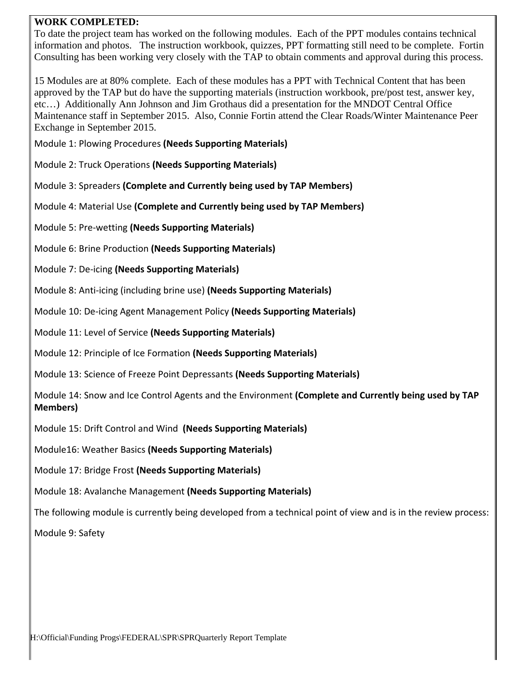#### **WORK COMPLETED:**

To date the project team has worked on the following modules. Each of the PPT modules contains technical information and photos. The instruction workbook, quizzes, PPT formatting still need to be complete. Fortin Consulting has been working very closely with the TAP to obtain comments and approval during this process.

15 Modules are at 80% complete. Each of these modules has a PPT with Technical Content that has been approved by the TAP but do have the supporting materials (instruction workbook, pre/post test, answer key, etc…) Additionally Ann Johnson and Jim Grothaus did a presentation for the MNDOT Central Office Maintenance staff in September 2015. Also, Connie Fortin attend the Clear Roads/Winter Maintenance Peer Exchange in September 2015.

Module 1: Plowing Procedures **(Needs Supporting Materials)**

- Module 2: Truck Operations **(Needs Supporting Materials)**
- Module 3: Spreaders **(Complete and Currently being used by TAP Members)**
- Module 4: Material Use **(Complete and Currently being used by TAP Members)**
- Module 5: Pre-wetting **(Needs Supporting Materials)**
- Module 6: Brine Production **(Needs Supporting Materials)**
- Module 7: De-icing **(Needs Supporting Materials)**
- Module 8: Anti-icing (including brine use) **(Needs Supporting Materials)**
- Module 10: De-icing Agent Management Policy **(Needs Supporting Materials)**
- Module 11: Level of Service **(Needs Supporting Materials)**
- Module 12: Principle of Ice Formation **(Needs Supporting Materials)**
- Module 13: Science of Freeze Point Depressants **(Needs Supporting Materials)**
- Module 14: Snow and Ice Control Agents and the Environment **(Complete and Currently being used by TAP Members)**
- Module 15: Drift Control and Wind **(Needs Supporting Materials)**
- Module16: Weather Basics **(Needs Supporting Materials)**
- Module 17: Bridge Frost **(Needs Supporting Materials)**
- Module 18: Avalanche Management **(Needs Supporting Materials)**
- The following module is currently being developed from a technical point of view and is in the review process:

Module 9: Safety